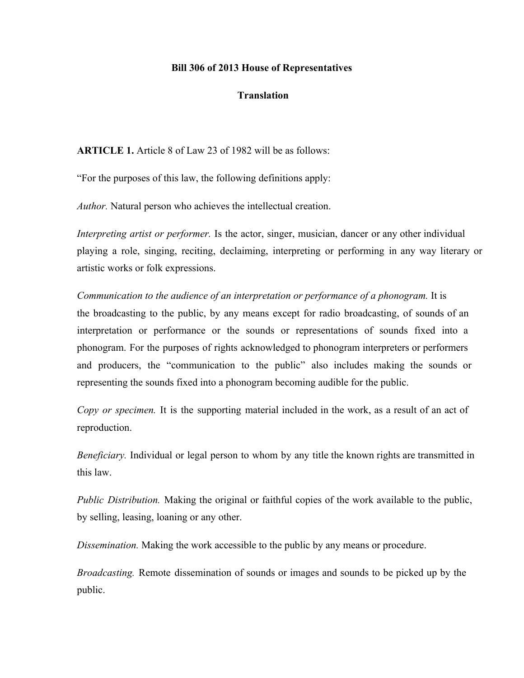## **Bill 306 of 2013 House of Representatives**

## **Translation**

**ARTICLE 1.** Article 8 of Law 23 of 1982 will be as follows:

"For the purposes of this law, the following definitions apply:

*Author.* Natural person who achieves the intellectual creation.

*Interpreting artist or performer.* Is the actor, singer, musician, dancer or any other individual playing a role, singing, reciting, declaiming, interpreting or performing in any way literary or artistic works or folk expressions.

*Communication to the audience of an interpretation or performance of a phonogram.* It is the broadcasting to the public, by any means except for radio broadcasting, of sounds of an interpretation or performance or the sounds or representations of sounds fixed into a phonogram. For the purposes of rights acknowledged to phonogram interpreters or performers and producers, the "communication to the public" also includes making the sounds or representing the sounds fixed into a phonogram becoming audible for the public.

*Copy or specimen.* It is the supporting material included in the work, as a result of an act of reproduction.

*Beneficiary.* Individual or legal person to whom by any title the known rights are transmitted in this law.

*Public Distribution.* Making the original or faithful copies of the work available to the public, by selling, leasing, loaning or any other.

*Dissemination.* Making the work accessible to the public by any means or procedure.

*Broadcasting.* Remote dissemination of sounds or images and sounds to be picked up by the public.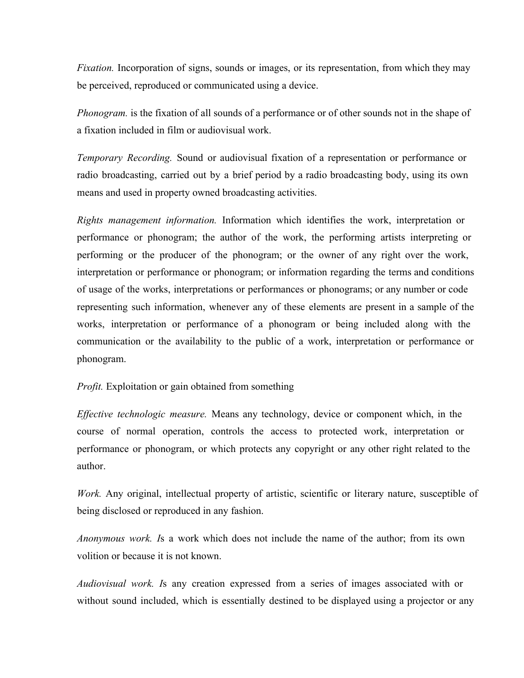*Fixation.* Incorporation of signs, sounds or images, or its representation, from which they may be perceived, reproduced or communicated using a device.

*Phonogram.* is the fixation of all sounds of a performance or of other sounds not in the shape of a fixation included in film or audiovisual work.

*Temporary Recording.* Sound or audiovisual fixation of a representation or performance or radio broadcasting, carried out by a brief period by a radio broadcasting body, using its own means and used in property owned broadcasting activities.

*Rights management information.* Information which identifies the work, interpretation or performance or phonogram; the author of the work, the performing artists interpreting or performing or the producer of the phonogram; or the owner of any right over the work, interpretation or performance or phonogram; or information regarding the terms and conditions of usage of the works, interpretations or performances or phonograms; or any number or code representing such information, whenever any of these elements are present in a sample of the works, interpretation or performance of a phonogram or being included along with the communication or the availability to the public of a work, interpretation or performance or phonogram.

## *Profit.* Exploitation or gain obtained from something

*Ef ective technologic measure.* Means any technology, device or component which, in the course of normal operation, controls the access to protected work, interpretation or performance or phonogram, or which protects any copyright or any other right related to the author.

*Work.* Any original, intellectual property of artistic, scientific or literary nature, susceptible of being disclosed or reproduced in any fashion.

*Anonymous work. I*s a work which does not include the name of the author; from its own volition or because it is not known.

*Audiovisual work. I*s any creation expressed from a series of images associated with or without sound included, which is essentially destined to be displayed using a projector or any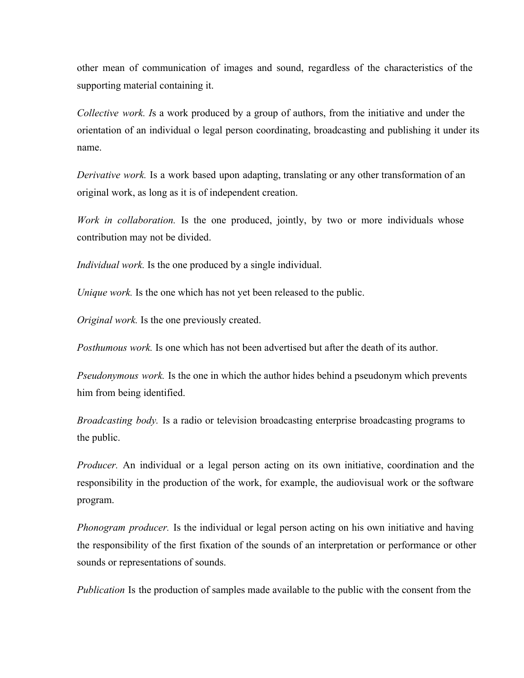other mean of communication of images and sound, regardless of the characteristics of the supporting material containing it.

*Collective work. I*s a work produced by a group of authors, from the initiative and under the orientation of an individual o legal person coordinating, broadcasting and publishing it under its name.

*Derivative work.* Is a work based upon adapting, translating or any other transformation of an original work, as long as it is of independent creation.

*Work in collaboration.* Is the one produced, jointly, by two or more individuals whose contribution may not be divided.

*Individual work.* Is the one produced by a single individual.

*Unique work.* Is the one which has not yet been released to the public.

*Original work.* Is the one previously created.

*Posthumous work.* Is one which has not been advertised but after the death of its author.

*Pseudonymous work.* Is the one in which the author hides behind a pseudonym which prevents him from being identified.

*Broadcasting body.* Is a radio or television broadcasting enterprise broadcasting programs to the public.

*Producer.* An individual or a legal person acting on its own initiative, coordination and the responsibility in the production of the work, for example, the audiovisual work or the software program.

*Phonogram producer.* Is the individual or legal person acting on his own initiative and having the responsibility of the first fixation of the sounds of an interpretation or performance or other sounds or representations of sounds.

*Publication* Is the production of samples made available to the public with the consent from the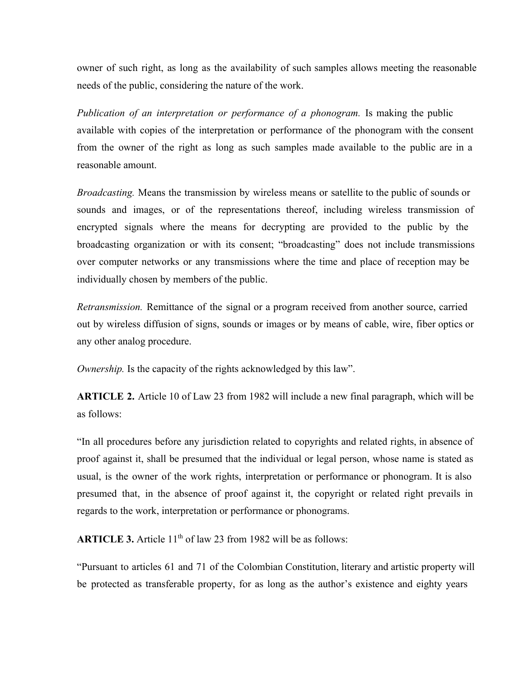owner of such right, as long as the availability of such samples allows meeting the reasonable needs of the public, considering the nature of the work.

*Publication of an interpretation or performance of a phonogram.* Is making the public available with copies of the interpretation or performance of the phonogram with the consent from the owner of the right as long as such samples made available to the public are in a reasonable amount.

*Broadcasting.* Means the transmission by wireless means or satellite to the public of sounds or sounds and images, or of the representations thereof, including wireless transmission of encrypted signals where the means for decrypting are provided to the public by the broadcasting organization or with its consent; "broadcasting" does not include transmissions over computer networks or any transmissions where the time and place of reception may be individually chosen by members of the public.

*Retransmission.* Remittance of the signal or a program received from another source, carried out by wireless diffusion of signs, sounds or images or by means of cable, wire, fiber optics or any other analog procedure.

*Ownership.* Is the capacity of the rights acknowledged by this law".

**ARTICLE 2.** Article 10 of Law 23 from 1982 will include a new final paragraph, which will be as follows:

"In all procedures before any jurisdiction related to copyrights and related rights, in absence of proof against it, shall be presumed that the individual or legal person, whose name is stated as usual, is the owner of the work rights, interpretation or performance or phonogram. It is also presumed that, in the absence of proof against it, the copyright or related right prevails in regards to the work, interpretation or performance or phonograms.

ARTICLE 3. Article 11<sup>th</sup> of law 23 from 1982 will be as follows:

"Pursuant to articles 61 and 71 of the Colombian Constitution, literary and artistic property will be protected as transferable property, for as long as the author's existence and eighty years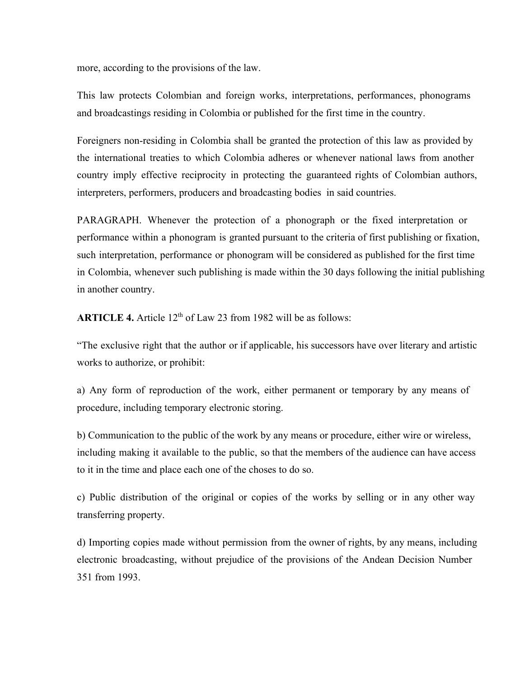more, according to the provisions of the law.

This law protects Colombian and foreign works, interpretations, performances, phonograms and broadcastings residing in Colombia or published for the first time in the country.

Foreigners non-residing in Colombia shall be granted the protection of this law as provided by the international treaties to which Colombia adheres or whenever national laws from another country imply effective reciprocity in protecting the guaranteed rights of Colombian authors, interpreters, performers, producers and broadcasting bodies in said countries.

PARAGRAPH. Whenever the protection of a phonograph or the fixed interpretation or performance within a phonogram is granted pursuant to the criteria of first publishing or fixation, such interpretation, performance or phonogram will be considered as published for the first time in Colombia, whenever such publishing is made within the 30 days following the initial publishing in another country.

ARTICLE 4. Article 12<sup>th</sup> of Law 23 from 1982 will be as follows:

"The exclusive right that the author or if applicable, his successors have over literary and artistic works to authorize, or prohibit:

a) Any form of reproduction of the work, either permanent or temporary by any means of procedure, including temporary electronic storing.

b) Communication to the public of the work by any means or procedure, either wire or wireless, including making it available to the public, so that the members of the audience can have access to it in the time and place each one of the choses to do so.

c) Public distribution of the original or copies of the works by selling or in any other way transferring property.

d) Importing copies made without permission from the owner of rights, by any means, including electronic broadcasting, without prejudice of the provisions of the Andean Decision Number 351 from 1993.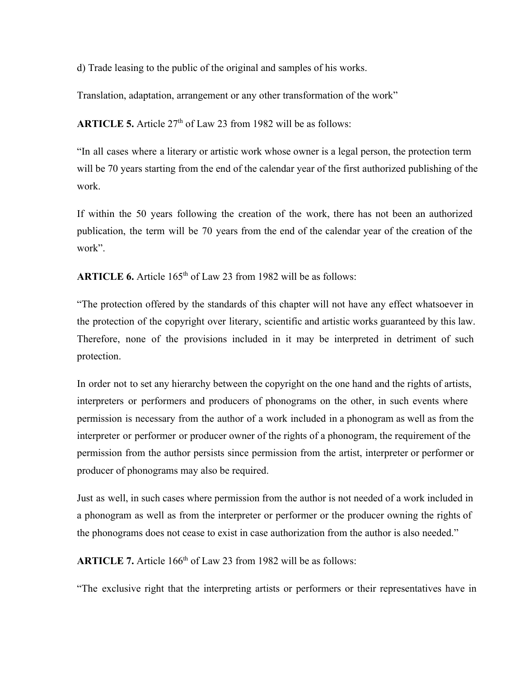d) Trade leasing to the public of the original and samples of his works.

Translation, adaptation, arrangement or any other transformation of the work"

ARTICLE 5. Article 27<sup>th</sup> of Law 23 from 1982 will be as follows:

"In all cases where a literary or artistic work whose owner is a legal person, the protection term will be 70 years starting from the end of the calendar year of the first authorized publishing of the work.

If within the 50 years following the creation of the work, there has not been an authorized publication, the term will be 70 years from the end of the calendar year of the creation of the work".

ARTICLE 6. Article 165<sup>th</sup> of Law 23 from 1982 will be as follows:

"The protection offered by the standards of this chapter will not have any effect whatsoever in the protection of the copyright over literary, scientific and artistic works guaranteed by this law. Therefore, none of the provisions included in it may be interpreted in detriment of such protection.

In order not to set any hierarchy between the copyright on the one hand and the rights of artists, interpreters or performers and producers of phonograms on the other, in such events where permission is necessary from the author of a work included in a phonogram as well as from the interpreter or performer or producer owner of the rights of a phonogram, the requirement of the permission from the author persists since permission from the artist, interpreter or performer or producer of phonograms may also be required.

Just as well, in such cases where permission from the author is not needed of a work included in a phonogram as well as from the interpreter or performer or the producer owning the rights of the phonograms does not cease to exist in case authorization from the author is also needed."

ARTICLE 7. Article 166<sup>th</sup> of Law 23 from 1982 will be as follows:

"The exclusive right that the interpreting artists or performers or their representatives have in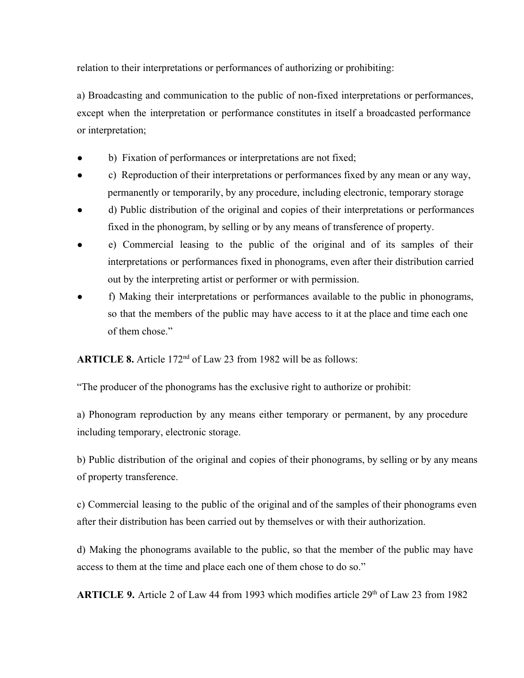relation to their interpretations or performances of authorizing or prohibiting:

a) Broadcasting and communication to the public of non-fixed interpretations or performances, except when the interpretation or performance constitutes in itself a broadcasted performance or interpretation;

- b) Fixation of performances or interpretations are not fixed;
- c) Reproduction of their interpretations or performances fixed by any mean or any way, permanently or temporarily, by any procedure, including electronic, temporary storage
- d) Public distribution of the original and copies of their interpretations or performances fixed in the phonogram, by selling or by any means of transference of property.
- e) Commercial leasing to the public of the original and of its samples of their interpretations or performances fixed in phonograms, even after their distribution carried out by the interpreting artist or performer or with permission.
- f) Making their interpretations or performances available to the public in phonograms, so that the members of the public may have access to it at the place and time each one of them chose"

ARTICLE 8. Article 172<sup>nd</sup> of Law 23 from 1982 will be as follows:

"The producer of the phonograms has the exclusive right to authorize or prohibit:

a) Phonogram reproduction by any means either temporary or permanent, by any procedure including temporary, electronic storage.

b) Public distribution of the original and copies of their phonograms, by selling or by any means of property transference.

c) Commercial leasing to the public of the original and of the samples of their phonograms even after their distribution has been carried out by themselves or with their authorization.

d) Making the phonograms available to the public, so that the member of the public may have access to them at the time and place each one of them chose to do so."

ARTICLE 9. Article 2 of Law 44 from 1993 which modifies article 29<sup>th</sup> of Law 23 from 1982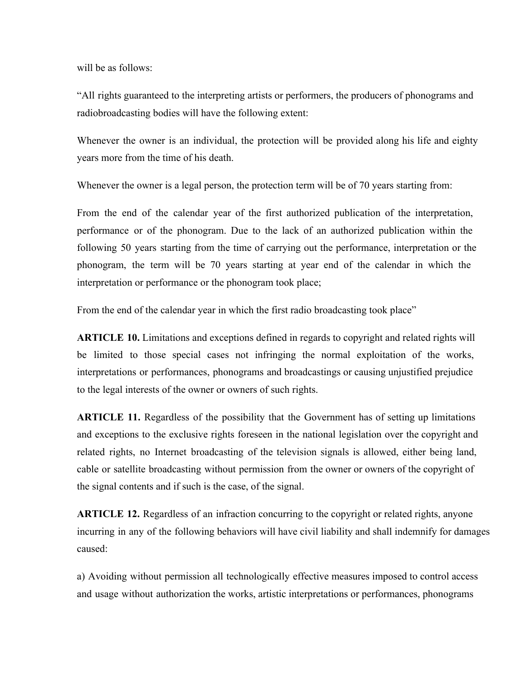will be as follows:

"All rights guaranteed to the interpreting artists or performers, the producers of phonograms and radiobroadcasting bodies will have the following extent:

Whenever the owner is an individual, the protection will be provided along his life and eighty years more from the time of his death.

Whenever the owner is a legal person, the protection term will be of 70 years starting from:

From the end of the calendar year of the first authorized publication of the interpretation, performance or of the phonogram. Due to the lack of an authorized publication within the following 50 years starting from the time of carrying out the performance, interpretation or the phonogram, the term will be 70 years starting at year end of the calendar in which the interpretation or performance or the phonogram took place;

From the end of the calendar year in which the first radio broadcasting took place"

**ARTICLE 10.** Limitations and exceptions defined in regards to copyright and related rights will be limited to those special cases not infringing the normal exploitation of the works, interpretations or performances, phonograms and broadcastings or causing unjustified prejudice to the legal interests of the owner or owners of such rights.

**ARTICLE 11.** Regardless of the possibility that the Government has of setting up limitations and exceptions to the exclusive rights foreseen in the national legislation over the copyright and related rights, no Internet broadcasting of the television signals is allowed, either being land, cable or satellite broadcasting without permission from the owner or owners of the copyright of the signal contents and if such is the case, of the signal.

**ARTICLE 12.** Regardless of an infraction concurring to the copyright or related rights, anyone incurring in any of the following behaviors will have civil liability and shall indemnify for damages caused:

a) Avoiding without permission all technologically effective measures imposed to control access and usage without authorization the works, artistic interpretations or performances, phonograms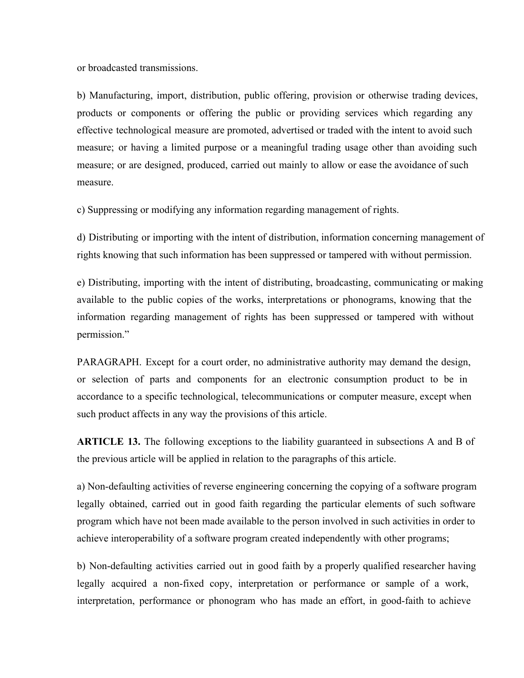or broadcasted transmissions.

b) Manufacturing, import, distribution, public offering, provision or otherwise trading devices, products or components or offering the public or providing services which regarding any effective technological measure are promoted, advertised or traded with the intent to avoid such measure; or having a limited purpose or a meaningful trading usage other than avoiding such measure; or are designed, produced, carried out mainly to allow or ease the avoidance of such measure.

c) Suppressing or modifying any information regarding management of rights.

d) Distributing or importing with the intent of distribution, information concerning management of rights knowing that such information has been suppressed or tampered with without permission.

e) Distributing, importing with the intent of distributing, broadcasting, communicating or making available to the public copies of the works, interpretations or phonograms, knowing that the information regarding management of rights has been suppressed or tampered with without permission."

PARAGRAPH. Except for a court order, no administrative authority may demand the design, or selection of parts and components for an electronic consumption product to be in accordance to a specific technological, telecommunications or computer measure, except when such product affects in any way the provisions of this article.

**ARTICLE 13.** The following exceptions to the liability guaranteed in subsections A and B of the previous article will be applied in relation to the paragraphs of this article.

a) Non-defaulting activities of reverse engineering concerning the copying of a software program legally obtained, carried out in good faith regarding the particular elements of such software program which have not been made available to the person involved in such activities in order to achieve interoperability of a software program created independently with other programs;

b) Non-defaulting activities carried out in good faith by a properly qualified researcher having legally acquired a non-fixed copy, interpretation or performance or sample of a work, interpretation, performance or phonogram who has made an effort, in good-faith to achieve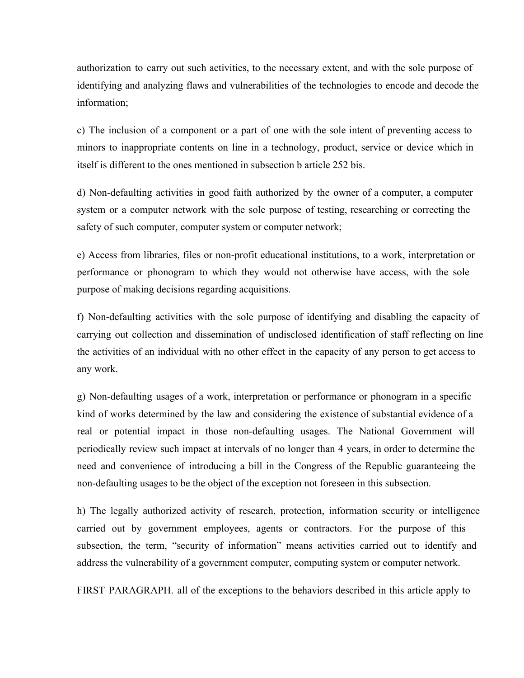authorization to carry out such activities, to the necessary extent, and with the sole purpose of identifying and analyzing flaws and vulnerabilities of the technologies to encode and decode the information;

c) The inclusion of a component or a part of one with the sole intent of preventing access to minors to inappropriate contents on line in a technology, product, service or device which in itself is different to the ones mentioned in subsection b article 252 bis.

d) Non-defaulting activities in good faith authorized by the owner of a computer, a computer system or a computer network with the sole purpose of testing, researching or correcting the safety of such computer, computer system or computer network;

e) Access from libraries, files or non-profit educational institutions, to a work, interpretation or performance or phonogram to which they would not otherwise have access, with the sole purpose of making decisions regarding acquisitions.

f) Non-defaulting activities with the sole purpose of identifying and disabling the capacity of carrying out collection and dissemination of undisclosed identification of staff reflecting on line the activities of an individual with no other effect in the capacity of any person to get access to any work.

g) Non-defaulting usages of a work, interpretation or performance or phonogram in a specific kind of works determined by the law and considering the existence of substantial evidence of a real or potential impact in those non-defaulting usages. The National Government will periodically review such impact at intervals of no longer than 4 years, in order to determine the need and convenience of introducing a bill in the Congress of the Republic guaranteeing the non-defaulting usages to be the object of the exception not foreseen in this subsection.

h) The legally authorized activity of research, protection, information security or intelligence carried out by government employees, agents or contractors. For the purpose of this subsection, the term, "security of information" means activities carried out to identify and address the vulnerability of a government computer, computing system or computer network.

FIRST PARAGRAPH. all of the exceptions to the behaviors described in this article apply to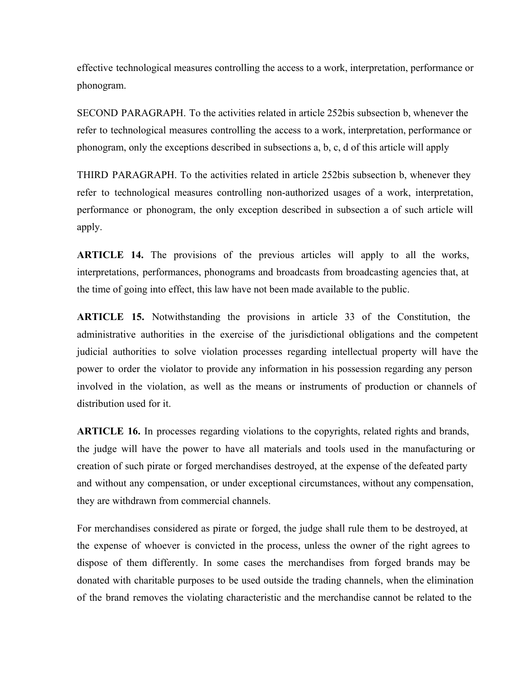effective technological measures controlling the access to a work, interpretation, performance or phonogram.

SECOND PARAGRAPH. To the activities related in article 252bis subsection b, whenever the refer to technological measures controlling the access to a work, interpretation, performance or phonogram, only the exceptions described in subsections a, b, c, d of this article will apply

THIRD PARAGRAPH. To the activities related in article 252bis subsection b, whenever they refer to technological measures controlling non-authorized usages of a work, interpretation, performance or phonogram, the only exception described in subsection a of such article will apply.

**ARTICLE 14.** The provisions of the previous articles will apply to all the works, interpretations, performances, phonograms and broadcasts from broadcasting agencies that, at the time of going into effect, this law have not been made available to the public.

**ARTICLE 15.** Notwithstanding the provisions in article 33 of the Constitution, the administrative authorities in the exercise of the jurisdictional obligations and the competent judicial authorities to solve violation processes regarding intellectual property will have the power to order the violator to provide any information in his possession regarding any person involved in the violation, as well as the means or instruments of production or channels of distribution used for it.

**ARTICLE 16.** In processes regarding violations to the copyrights, related rights and brands, the judge will have the power to have all materials and tools used in the manufacturing or creation of such pirate or forged merchandises destroyed, at the expense of the defeated party and without any compensation, or under exceptional circumstances, without any compensation, they are withdrawn from commercial channels.

For merchandises considered as pirate or forged, the judge shall rule them to be destroyed, at the expense of whoever is convicted in the process, unless the owner of the right agrees to dispose of them differently. In some cases the merchandises from forged brands may be donated with charitable purposes to be used outside the trading channels, when the elimination of the brand removes the violating characteristic and the merchandise cannot be related to the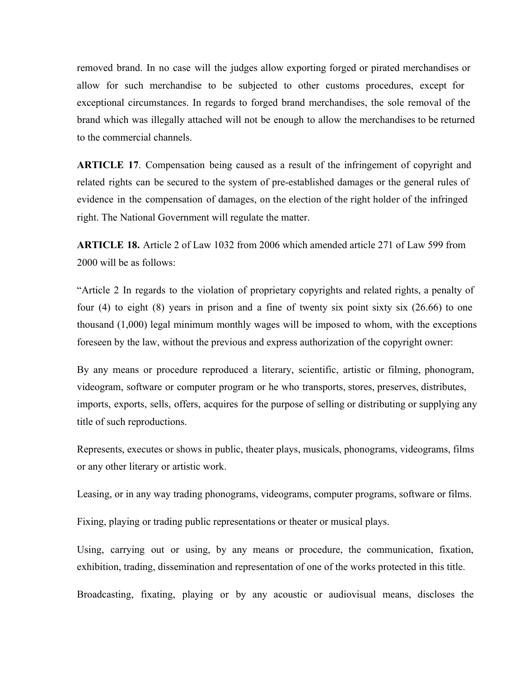removed brand. In no case will the judges allow exporting forged or pirated merchandises or allow for such merchandise to be subjected to other customs procedures, except for exceptional circumstances. In regards to forged brand merchandises, the sole removal of the brand which was illegally attached will not be enough to allow the merchandises to be returned to the commercial channels.

**ARTICLE 17**. Compensation being caused as a result of the infringement of copyright and related rights can be secured to the system of pre-established damages or the general rules of evidence in the compensation of damages, on the election of the right holder of the infringed right. The National Government will regulate the matter.

**ARTICLE 18.** Article 2 of Law 1032 from 2006 which amended article 271 of Law 599 from 2000 will be as follows:

"Article 2 In regards to the violation of proprietary copyrights and related rights, a penalty of four (4) to eight (8) years in prison and a fine of twenty six point sixty six (26.66) to one thousand (1,000) legal minimum monthly wages will be imposed to whom, with the exceptions foreseen by the law, without the previous and express authorization of the copyright owner:

By any means or procedure reproduced a literary, scientific, artistic or filming, phonogram, videogram, software or computer program or he who transports, stores, preserves, distributes, imports, exports, sells, offers, acquires for the purpose of selling or distributing or supplying any title of such reproductions.

Represents, executes or shows in public, theater plays, musicals, phonograms, videograms, films or any other literary or artistic work.

Leasing, or in any way trading phonograms, videograms, computer programs, software or films.

Fixing, playing or trading public representations or theater or musical plays.

Using, carrying out or using, by any means or procedure, the communication, fixation, exhibition, trading, dissemination and representation of one of the works protected in this title.

Broadcasting, fixating, playing or by any acoustic or audiovisual means, discloses the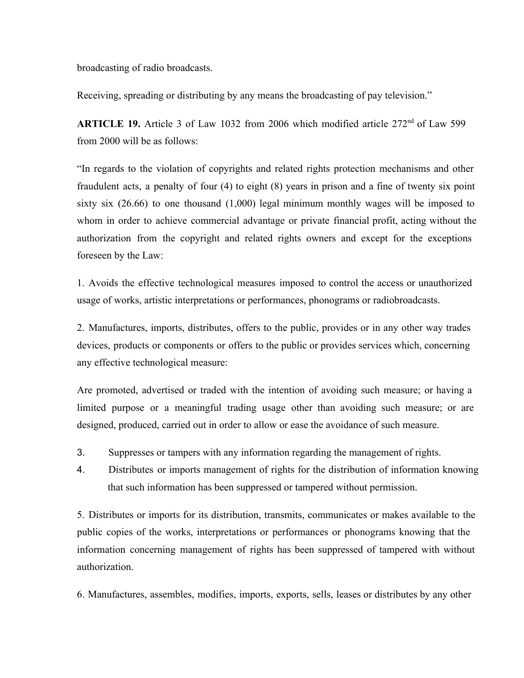broadcasting of radio broadcasts.

Receiving, spreading or distributing by any means the broadcasting of pay television."

ARTICLE 19. Article 3 of Law 1032 from 2006 which modified article 272<sup>nd</sup> of Law 599 from 2000 will be as follows:

"In regards to the violation of copyrights and related rights protection mechanisms and other fraudulent acts, a penalty of four (4) to eight (8) years in prison and a fine of twenty six point sixty six (26.66) to one thousand (1,000) legal minimum monthly wages will be imposed to whom in order to achieve commercial advantage or private financial profit, acting without the authorization from the copyright and related rights owners and except for the exceptions foreseen by the Law:

1. Avoids the effective technological measures imposed to control the access or unauthorized usage of works, artistic interpretations or performances, phonograms or radiobroadcasts.

2. Manufactures, imports, distributes, offers to the public, provides or in any other way trades devices, products or components or offers to the public or provides services which, concerning any effective technological measure:

Are promoted, advertised or traded with the intention of avoiding such measure; or having a limited purpose or a meaningful trading usage other than avoiding such measure; or are designed, produced, carried out in order to allow or ease the avoidance of such measure.

- 3. Suppresses or tampers with any information regarding the management of rights.
- 4. Distributes or imports management of rights for the distribution of information knowing that such information has been suppressed or tampered without permission.

5. Distributes or imports for its distribution, transmits, communicates or makes available to the public copies of the works, interpretations or performances or phonograms knowing that the information concerning management of rights has been suppressed of tampered with without authorization.

6. Manufactures, assembles, modifies, imports, exports, sells, leases or distributes by any other